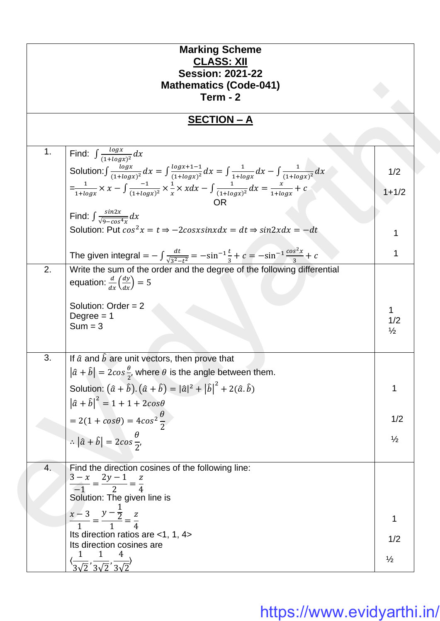| <b>Marking Scheme</b><br><b>CLASS: XII</b><br><b>Session: 2021-22</b><br><b>Mathematics (Code-041)</b><br>$Term - 2$                                         |                      |  |
|--------------------------------------------------------------------------------------------------------------------------------------------------------------|----------------------|--|
| <u> SECTION – A</u>                                                                                                                                          |                      |  |
| Find: $\int \frac{\log x}{(1 + \log x)^2} dx$<br>1.                                                                                                          |                      |  |
| Solution: $\int \frac{\log x}{(1+\log x)^2} dx = \int \frac{\log x + 1 - 1}{(1+\log x)^2} dx = \int \frac{1}{1+\log x} dx - \int \frac{1}{(1+\log x)^2} dx$  | 1/2                  |  |
| $=\frac{1}{1+\log x} \times x - \int \frac{-1}{(1+\log x)^2} \times \frac{1}{x} \times x dx - \int \frac{1}{(1+\log x)^2} dx = \frac{x}{1+\log x} + c$<br>OR | $1 + 1/2$            |  |
| Find: $\int \frac{\sin 2x}{\sqrt{9-\cos^4 x}} dx$                                                                                                            |                      |  |
| Solution: Put $cos^2 x = t \Rightarrow -2cosxsinx dx = dt \Rightarrow sin2xdx = -dt$                                                                         |                      |  |
| The given integral = $-\int \frac{dt}{\sqrt{3^2-t^2}} = -\sin^{-1}\frac{t}{3} + c = -\sin^{-1}\frac{\cos^2 x}{3} + c$                                        | 1                    |  |
| 2.<br>Write the sum of the order and the degree of the following differential<br>equation: $\frac{d}{dx} \left( \frac{dy}{dx} \right) = 5$                   |                      |  |
| Solution: Order = $2$<br>Degree $= 1$                                                                                                                        | 1                    |  |
| $Sum = 3$                                                                                                                                                    | 1/2<br>$\frac{1}{2}$ |  |
| 3.<br>If $\hat{a}$ and $\hat{b}$ are unit vectors, then prove that                                                                                           |                      |  |
| $ \hat{a} + \hat{b}  = 2\cos{\frac{\theta}{2}}$ , where $\theta$ is the angle between them.                                                                  |                      |  |
| Solution: $(\hat{a} + \hat{b}) \cdot (\hat{a} + \hat{b}) =  \hat{a} ^2 +  \hat{b} ^2 + 2(\hat{a} \cdot \hat{b})$                                             | 1                    |  |
| $ \hat{a} + \hat{b} ^2 = 1 + 1 + 2cos\theta$<br>$= 2(1 + cos\theta) = 4cos^2\frac{\theta}{2}$                                                                | 1/2                  |  |
| $\therefore  \hat{a} + \hat{b}  = 2cos\frac{\theta}{2},$                                                                                                     | $\frac{1}{2}$        |  |
|                                                                                                                                                              |                      |  |
| Find the direction cosines of the following line:<br>4.<br>$\frac{3-x}{-1} = \frac{2y-1}{2} = \frac{z}{4}$                                                   |                      |  |
| Solution: The given line is                                                                                                                                  |                      |  |
| $\frac{x-3}{1} = \frac{y-\frac{1}{2}}{1} = \frac{z}{4}$                                                                                                      | 1                    |  |
| Its direction ratios are <1, 1, 4><br>Its direction cosines are                                                                                              | 1/2                  |  |
|                                                                                                                                                              | $\frac{1}{2}$        |  |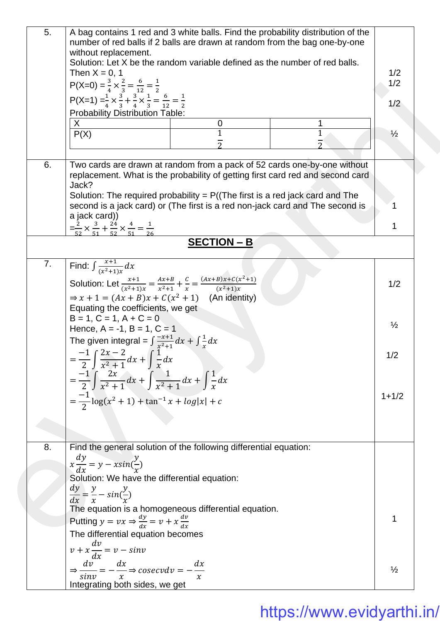| 5.<br>6. | A bag contains 1 red and 3 white balls. Find the probability distribution of the<br>number of red balls if 2 balls are drawn at random from the bag one-by-one<br>without replacement.<br>Solution: Let X be the random variable defined as the number of red balls.<br>Then $X = 0$ , 1<br>P(X=0) = $\frac{3}{4} \times \frac{2}{3} = \frac{6}{12} = \frac{1}{2}$<br>P(X=1) = $\frac{1}{4} \times \frac{3}{3} + \frac{3}{4} \times \frac{1}{3} = \frac{6}{12} = \frac{1}{2}$<br><b>Probability Distribution Table:</b><br>X<br>0<br>P(X)<br>Two cards are drawn at random from a pack of 52 cards one-by-one without<br>replacement. What is the probability of getting first card red and second card<br>Jack?<br>Solution: The required probability = $P((The first is a red jack card and The$<br>second is a jack card) or (The first is a red non-jack card and The second is<br>a jack card))<br>$=\frac{2}{52} \times \frac{3}{51} + \frac{24}{52} \times \frac{4}{51} = \frac{1}{26}$ | 1/2<br>1/2<br>1/2<br>$\frac{1}{2}$<br>1 |
|----------|------------------------------------------------------------------------------------------------------------------------------------------------------------------------------------------------------------------------------------------------------------------------------------------------------------------------------------------------------------------------------------------------------------------------------------------------------------------------------------------------------------------------------------------------------------------------------------------------------------------------------------------------------------------------------------------------------------------------------------------------------------------------------------------------------------------------------------------------------------------------------------------------------------------------------------------------------------------------------------------------|-----------------------------------------|
|          | <b>SECTION - B</b>                                                                                                                                                                                                                                                                                                                                                                                                                                                                                                                                                                                                                                                                                                                                                                                                                                                                                                                                                                             |                                         |
| 7.       | Find: $\int \frac{x+1}{(x^2+1)x} dx$<br>Solution: Let $\frac{x+1}{(x^2+1)x} = \frac{Ax+B}{x^2+1} + \frac{C}{x} = \frac{(Ax+B)x+C(x^2+1)}{(x^2+1)x}$<br>$\Rightarrow$ x + 1 = $(Ax + B)x + C(x^2 + 1)$ (An identity)<br>Equating the coefficients, we get<br>$B = 1, C = 1, A + C = 0$<br>Hence, $A = -1$ , $B = 1$ , $C = 1$                                                                                                                                                                                                                                                                                                                                                                                                                                                                                                                                                                                                                                                                   | 1/2<br>$\frac{1}{2}$                    |
|          | The given integral = $\int \frac{-x+1}{x^2+1} dx + \int \frac{1}{x} dx$<br>$=\frac{-1}{2}\int \frac{2x-2}{x^2+1}dx+\int \frac{1}{x}dx$<br>$= \frac{-1}{2} \int \frac{2x}{x^2+1} dx + \int \frac{1}{x^2+1} dx + \int \frac{1}{x} dx$<br>$=\frac{-1}{2}\log(x^2+1)+\tan^{-1}x+\log x +c$                                                                                                                                                                                                                                                                                                                                                                                                                                                                                                                                                                                                                                                                                                         | 1/2<br>$1 + 1/2$                        |
| 8.       | Find the general solution of the following differential equation:<br>$x \frac{dy}{dx} = y - x \sin(\frac{y}{x})$<br>Solution: We have the differential equation:<br>$\frac{dy}{dx} = \frac{y}{x} - \sin(\frac{y}{x})$<br>The equation is a homogeneous differential equation.<br>Putting $y = vx \Rightarrow \frac{dy}{dx} = v + x \frac{dv}{dx}$<br>The differential equation becomes<br>$v + x \frac{dv}{dx} = v - sin v$<br>$\Rightarrow \frac{dv}{sinv} = -\frac{dx}{x} \Rightarrow cosecv dv = -\frac{dx}{x}$                                                                                                                                                                                                                                                                                                                                                                                                                                                                             | 1<br>$\frac{1}{2}$                      |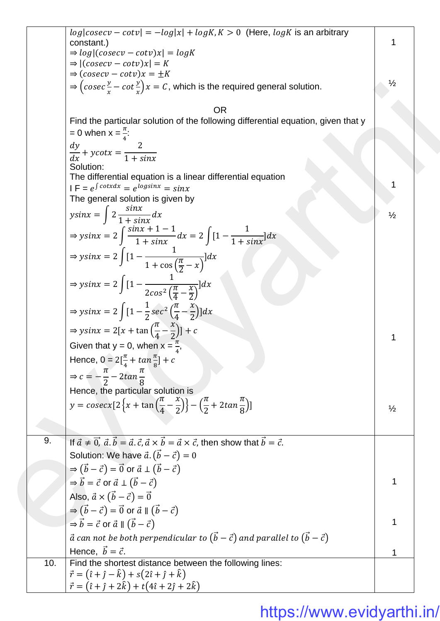|     | $log cosecv - cotv  = -log x  + logK$ , $K > 0$ (Here, $logK$ is an arbitrary<br>constant.)                                                                            |               |
|-----|------------------------------------------------------------------------------------------------------------------------------------------------------------------------|---------------|
|     | $\Rightarrow log (cosecv-cotv)x  = logK$                                                                                                                               |               |
|     | $\Rightarrow$ $ (cosecv - cotv)x  = K$<br>$\Rightarrow$ $(cosecv - cotv)x = \pm K$                                                                                     |               |
|     | $\Rightarrow$ $\left(\csc \frac{y}{x} - \cot \frac{y}{x}\right)x = C$ , which is the required general solution.                                                        | $\frac{1}{2}$ |
|     |                                                                                                                                                                        |               |
|     | <b>OR</b>                                                                                                                                                              |               |
|     | Find the particular solution of the following differential equation, given that y                                                                                      |               |
|     | $= 0$ when $x = \frac{\pi}{4}$ :                                                                                                                                       |               |
|     | $\frac{dy}{dx} + ycotx = \frac{2}{1 + sinx}$                                                                                                                           |               |
|     |                                                                                                                                                                        |               |
|     | Solution:<br>The differential equation is a linear differential equation                                                                                               |               |
|     | $IF = e^{\int cotxdx} = e^{\log sinx} = \sin x$                                                                                                                        |               |
|     | The general solution is given by                                                                                                                                       |               |
|     | $y\sin x = \int 2 \frac{\sin x}{1 + \sin x} dx$                                                                                                                        | $\frac{1}{2}$ |
|     |                                                                                                                                                                        |               |
|     | $\Rightarrow ysinx = 2 \int \frac{sinx + 1 - 1}{1 + sinx} dx = 2 \int [1 - \frac{1}{1 + sinx}] dx$                                                                     |               |
|     | $\Rightarrow ysinx = 2\int [1 - \frac{1}{1 + \cos(\frac{\pi}{2} - x)}]dx$                                                                                              |               |
|     | $\Rightarrow ysinx = 2\int [1 - \frac{1}{2cos^2(\frac{\pi}{4} - \frac{x}{2})}]dx$                                                                                      |               |
|     | $\Rightarrow$ ysinx = 2 $\int [1 - \frac{1}{2} \sec^2 \left( \frac{\pi}{4} - \frac{x}{2} \right)] dx$                                                                  |               |
|     | $\Rightarrow$ ysinx = 2[x + tan $\left(\frac{\pi}{4} - \frac{x}{2}\right)$ ] + c                                                                                       |               |
|     | Given that $y = 0$ , when $x = \frac{\pi}{4}$ ,                                                                                                                        |               |
|     | Hence, $0 = 2[\frac{\pi}{4} + \tan{\frac{\pi}{8}}] + c$                                                                                                                |               |
|     | $\Rightarrow c = -\frac{\pi}{2} - 2\tan{\frac{\pi}{8}}$                                                                                                                |               |
|     | Hence, the particular solution is                                                                                                                                      |               |
|     | y = $cosecx[2\left\{x+\tan\left(\frac{\pi}{4}-\frac{x}{2}\right)\right\}-\left(\frac{\pi}{2}+2tan\frac{\pi}{8}\right)]$                                                |               |
|     |                                                                                                                                                                        | $\frac{1}{2}$ |
|     |                                                                                                                                                                        |               |
| 9.  | If $\vec{a} \neq \vec{0}$ , $\vec{a} \cdot \vec{b} = \vec{a} \cdot \vec{c}$ , $\vec{a} \times \vec{b} = \vec{a} \times \vec{c}$ , then show that $\vec{b} = \vec{c}$ . |               |
|     | Solution: We have $\vec{a} \cdot (\vec{b} - \vec{c}) = 0$                                                                                                              |               |
|     | $\Rightarrow$ $(\vec{b} - \vec{c}) = \vec{0}$ or $\vec{a} \perp (\vec{b} - \vec{c})$                                                                                   |               |
|     | $\Rightarrow \vec{b} = \vec{c}$ or $\vec{a} \perp (\vec{b} - \vec{c})$                                                                                                 | 1             |
|     | Also, $\vec{a} \times (\vec{b} - \vec{c}) = \vec{0}$                                                                                                                   |               |
|     | $\Rightarrow$ $(\vec{b} - \vec{c}) = \vec{0}$ or $\vec{a} \parallel (\vec{b} - \vec{c})$                                                                               |               |
|     |                                                                                                                                                                        |               |
|     | $\Rightarrow \vec{b} = \vec{c}$ or $\vec{a} \parallel (\vec{b} - \vec{c})$                                                                                             |               |
|     | $\vec{a}$ can not be both perpendicular to $(\vec{b} - \vec{c})$ and parallel to $(\vec{b} - \vec{c})$                                                                 |               |
|     | Hence, $\vec{b} = \vec{c}$ .                                                                                                                                           | 1             |
| 10. | Find the shortest distance between the following lines:<br>$\vec{r} = (\hat{i} + \hat{j} - \hat{k}) + s(2\hat{i} + \hat{j} + \hat{k})$                                 |               |
|     | $\vec{r} = (\hat{i} + \hat{j} + 2\hat{k}) + t(4\hat{i} + 2\hat{j} + 2\hat{k})$                                                                                         |               |
|     |                                                                                                                                                                        |               |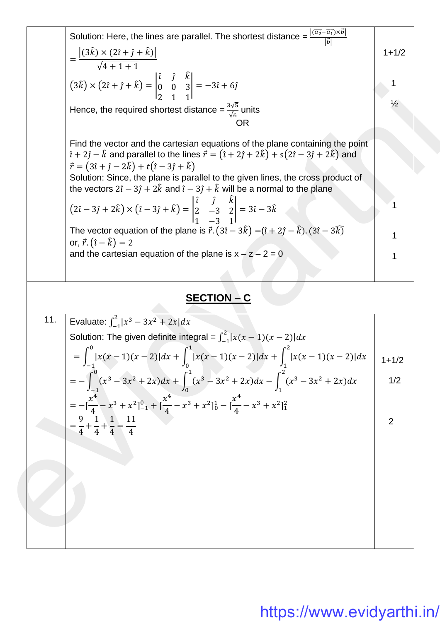|     | Solution: Here, the lines are parallel. The shortest distance = $\frac{ (\vec{a_2} - \vec{a_1}) \times \vec{b} }{ \vec{a} }$<br>$=\frac{\left (3\hat{k})\times(2\hat{i}+\hat{j}+\hat{k})\right }{\sqrt{4+1+1}}$                                                                                                                                                                                                                                                                                                    | $1 + 1/2$      |  |
|-----|--------------------------------------------------------------------------------------------------------------------------------------------------------------------------------------------------------------------------------------------------------------------------------------------------------------------------------------------------------------------------------------------------------------------------------------------------------------------------------------------------------------------|----------------|--|
|     | $(3\hat{k}) \times (2\hat{i} + \hat{j} + \hat{k}) = \begin{vmatrix} \hat{i} & \hat{j} & k \\ 0 & 0 & 3 \\ 2 & 1 & 1 \end{vmatrix} = -3\hat{i} + 6\hat{j}$<br>Hence, the required shortest distance = $\frac{3\sqrt{5}}{\sqrt{6}}$ units<br><b>OR</b>                                                                                                                                                                                                                                                               |                |  |
|     | Find the vector and the cartesian equations of the plane containing the point<br>$\hat{i} + 2\hat{j} - \hat{k}$ and parallel to the lines $\vec{r} = (\hat{i} + 2\hat{j} + 2\hat{k}) + s(2\hat{i} - 3\hat{j} + 2\hat{k})$ and<br>$\vec{r} = (3\hat{i} + \hat{j} - 2\hat{k}) + t(\hat{i} - 3\hat{j} + \hat{k})$<br>Solution: Since, the plane is parallel to the given lines, the cross product of<br>the vectors $2\hat{i} - 3\hat{j} + 2\hat{k}$ and $\hat{i} - 3\hat{j} + \hat{k}$ will be a normal to the plane |                |  |
|     | $(2\hat{i} - 3\hat{j} + 2\hat{k}) \times (\hat{i} - 3\hat{j} + \hat{k}) = \begin{vmatrix} \hat{i} & \hat{j} & \hat{k} \\ 2 & -3 & 2 \\ 1 & -3 & 1 \end{vmatrix} = 3\hat{i} - 3\hat{k}$                                                                                                                                                                                                                                                                                                                             |                |  |
|     | The vector equation of the plane is $\vec{r} \cdot (3\hat{i} - 3\hat{k}) = (\hat{i} + 2\hat{j} - \hat{k}) \cdot (3\hat{i} - 3\hat{k})$<br>or, $\vec{r} \cdot (\hat{i} - \hat{k}) = 2$                                                                                                                                                                                                                                                                                                                              |                |  |
|     | and the cartesian equation of the plane is $x - z - 2 = 0$                                                                                                                                                                                                                                                                                                                                                                                                                                                         |                |  |
|     | <u>SECTION – C</u>                                                                                                                                                                                                                                                                                                                                                                                                                                                                                                 |                |  |
| 11. | Evaluate: $\int_{-1}^{2}  x^3 - 3x^2 + 2x  dx$                                                                                                                                                                                                                                                                                                                                                                                                                                                                     |                |  |
|     | Solution: The given definite integral = $\int_{-1}^{2}  x(x-1)(x-2)  dx$                                                                                                                                                                                                                                                                                                                                                                                                                                           |                |  |
|     |                                                                                                                                                                                                                                                                                                                                                                                                                                                                                                                    |                |  |
|     | $= \int_{-1}^{0}  x(x-1)(x-2)  dx + \int_{0}^{1}  x(x-1)(x-2)  dx + \int_{1}^{2}  x(x-1)(x-2)  dx$                                                                                                                                                                                                                                                                                                                                                                                                                 | $1 + 1/2$      |  |
|     | $= - \int_{-1}^{0} (x^3 - 3x^2 + 2x) dx + \int_{0}^{1} (x^3 - 3x^2 + 2x) dx - \int_{1}^{2} (x^3 - 3x^2 + 2x) dx$                                                                                                                                                                                                                                                                                                                                                                                                   | 1/2            |  |
|     | $= -[\frac{x^4}{4} - x^3 + x^2]_{-1}^0 + [\frac{x^4}{4} - x^3 + x^2]_0^1 - [\frac{x^4}{4} - x^3 + x^2]_1^2$<br>$=\frac{9}{4}+\frac{1}{4}+\frac{1}{4}=\frac{11}{4}$                                                                                                                                                                                                                                                                                                                                                 | $\overline{2}$ |  |
|     |                                                                                                                                                                                                                                                                                                                                                                                                                                                                                                                    |                |  |
|     |                                                                                                                                                                                                                                                                                                                                                                                                                                                                                                                    |                |  |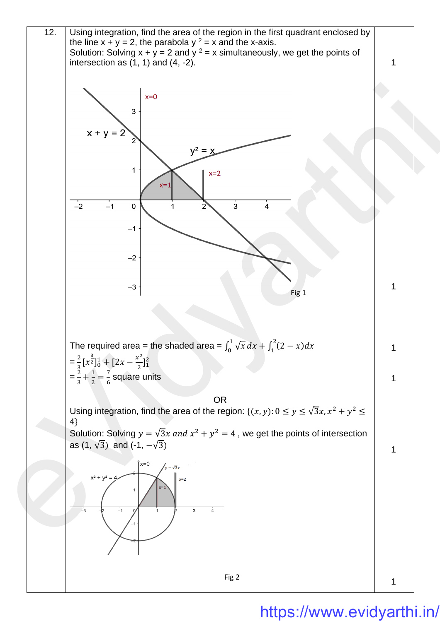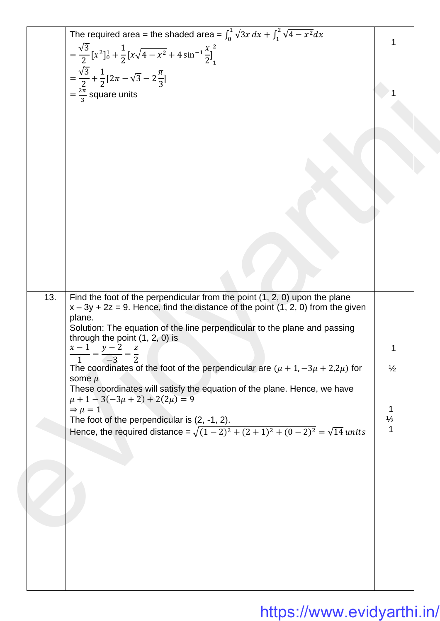|     | The required area = the shaded area = $\int_0^1 \sqrt{3}x \, dx + \int_1^2 \sqrt{4 - x^2} dx$                                                                                                                                                             |               |  |
|-----|-----------------------------------------------------------------------------------------------------------------------------------------------------------------------------------------------------------------------------------------------------------|---------------|--|
|     |                                                                                                                                                                                                                                                           |               |  |
|     | $= \frac{\sqrt{3}}{2} [x^2]_0^1 + \frac{1}{2} [x \sqrt{4 - x^2} + 4 \sin^{-1} \frac{x}{2}]_1^2$                                                                                                                                                           |               |  |
|     | $=\frac{\sqrt{3}}{2}+\frac{1}{2}[2\pi-\sqrt{3}-2\frac{\pi}{3}]$                                                                                                                                                                                           |               |  |
|     |                                                                                                                                                                                                                                                           |               |  |
|     | $=\frac{2\pi}{3}$ square units                                                                                                                                                                                                                            |               |  |
|     |                                                                                                                                                                                                                                                           |               |  |
|     |                                                                                                                                                                                                                                                           |               |  |
|     |                                                                                                                                                                                                                                                           |               |  |
|     |                                                                                                                                                                                                                                                           |               |  |
|     |                                                                                                                                                                                                                                                           |               |  |
|     |                                                                                                                                                                                                                                                           |               |  |
|     |                                                                                                                                                                                                                                                           |               |  |
|     |                                                                                                                                                                                                                                                           |               |  |
|     |                                                                                                                                                                                                                                                           |               |  |
|     |                                                                                                                                                                                                                                                           |               |  |
|     |                                                                                                                                                                                                                                                           |               |  |
|     |                                                                                                                                                                                                                                                           |               |  |
|     |                                                                                                                                                                                                                                                           |               |  |
|     |                                                                                                                                                                                                                                                           |               |  |
|     |                                                                                                                                                                                                                                                           |               |  |
|     |                                                                                                                                                                                                                                                           |               |  |
| 13. | Find the foot of the perpendicular from the point $(1, 2, 0)$ upon the plane<br>$x - 3y + 2z = 9$ . Hence, find the distance of the point (1, 2, 0) from the given<br>plane.<br>Solution: The equation of the line perpendicular to the plane and passing |               |  |
|     | through the point $(1, 2, 0)$ is<br>$x-1$ $y-2$<br>Z                                                                                                                                                                                                      |               |  |
|     | $\overline{2}$<br>$\mathbf{1}$<br>$-3$                                                                                                                                                                                                                    |               |  |
|     | The coordinates of the foot of the perpendicular are $(\mu + 1, -3\mu + 2, 2\mu)$ for                                                                                                                                                                     | $\frac{1}{2}$ |  |
|     | some $\mu$                                                                                                                                                                                                                                                |               |  |
|     | These coordinates will satisfy the equation of the plane. Hence, we have<br>$\mu + 1 - 3(-3\mu + 2) + 2(2\mu) = 9$                                                                                                                                        |               |  |
|     | $\Rightarrow \mu = 1$                                                                                                                                                                                                                                     | 1             |  |
|     | The foot of the perpendicular is $(2, -1, 2)$ .                                                                                                                                                                                                           | $\frac{1}{2}$ |  |
|     | Hence, the required distance = $\sqrt{(1-2)^2 + (2+1)^2 + (0-2)^2} = \sqrt{14}$ units                                                                                                                                                                     | 1             |  |
|     |                                                                                                                                                                                                                                                           |               |  |
|     |                                                                                                                                                                                                                                                           |               |  |
|     |                                                                                                                                                                                                                                                           |               |  |
|     |                                                                                                                                                                                                                                                           |               |  |
|     |                                                                                                                                                                                                                                                           |               |  |
|     |                                                                                                                                                                                                                                                           |               |  |
|     |                                                                                                                                                                                                                                                           |               |  |
|     |                                                                                                                                                                                                                                                           |               |  |
|     |                                                                                                                                                                                                                                                           |               |  |
|     |                                                                                                                                                                                                                                                           |               |  |
|     |                                                                                                                                                                                                                                                           |               |  |
|     |                                                                                                                                                                                                                                                           |               |  |
|     |                                                                                                                                                                                                                                                           |               |  |